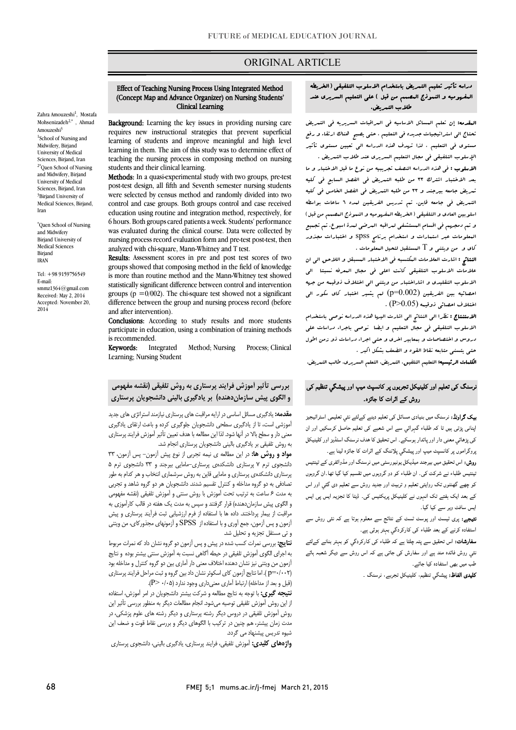# ORIGINAL ARTICLE

 (Concept Map and Advance Organizer) on Nursing Students' Effect of Teaching Nursing Process Using Integrated Method Clinical Learning

Ī

Zahra Amouzeshi<sup>1</sup>, Mostafa Mohsenizadeh<sup>2,\*</sup>, Ahmad Amouzeshi3 <sup>1</sup>School of Nursing and Midwifery, Birjand University of Medical Sciences, Biriand, Iran 2\* Qaen School of Nursing and Midwifery, Biriand University of Medical Sciences, Biriand, Iran <sup>3</sup>Birjand University of Medical Sciences, Birjand, Iran

\* Qaen School of Nursing and Midwifery Biriand University of Medical Sciences Birjand IRAN

Tel: +98 9159756549 E-mail: smmz1364@gmail.com Received: May 2, 2014 Accepted: November 20, 2014

Background: Learning the key issues in providing nursing care requires new instructional strategies that prevent superficial learning of students and improve meaningful and high level teaching the nursing process in composing method on nursing learning in them. The aim of this study was to determine effect of students and their clinical learning.

 Methods: In a quasi-experimental study with two groups, pre-test were selected by census method and randomly divided into two control and case groups. Both groups control and case received 6 hours. Both groups cared patients a week. Students' performance was evaluated during the clinical course. Data were collected by nursing process record evaluation form and pre-test post-test, then post-test design, all fifth and Seventh semester nursing students education using routine and integration method, respectively, for analyzed with chi-square, Mann-Whitney and T test.

Results: Assessment scores in pre and post test scores of two groups showed that composing method in the field of knowledge statistically significant difference between control and intervention groups ( $p = 0/002$ ). The chi-square test showed not a significant difference between the group and nursing process record (before is more than routine method and the Mann-Whitney test showed and after intervention).

**Conclusions:** According to study results and more students participate in education, using a combination of training methods is recommended.

is recommenticu.<br>**Keywords:** Integrated Method; Nursing Process; Clinical Learning; Nursing Student

 بررسی تأثیر آموزش فرایند پرستاري به روش تلفیقی (نقشه مفهومی و الگوي پیش سازماندهنده) بر یادگیري بالینی دانشجویان پرستاري

 مقدمه: یادگیري مسائل اساسی در ارایه مراقبت هاي پرستاري نیازمند استراتژي هاي جدید مورسی مست - در یعمیری مستعی مستبوین ببومین درمه و باعث ترقیق میشود.<br>معنی دار و سطح بالا در آنها شود. لذا این مطالعه با هدف تعیین تأثیر آموزش فرایند پرستاری به روش تلفیقی بر یادگیري بالینی دانشجویان پرستاري انجام شد. آموزشی است، تا از یادگیري سطحی دانشجویان جلوگیري کرده و باعث ارتقاي یادگیري

**مواد و روش ها:** در این مطالعه ی نیمه تجربی از نوع پیش آزمون ۳۳ دانشجوي ترم 7 پرستاري دانشکدهي پرستاري-مامایی بیرجند و 33 دانشجوي ترم 5 بر در صادق به دوره کنترل تقسیم شدند. داران از دارد از داده از داده کرد<br>نصادفی به دو گروه مداخله و کنترل تقسیم شدند. دانشجویان هر دو گروه شاهد و تجربی به مدت 6 ساعت به ترتیب تحت آموزش با روش سنتی و آموزش تلفیقی (نقشه مفهومی و الگوی پیش سازماندهنده) قرار گرفتند و سپس به مدت یک هفته در قالب کارآموزی به مراقبت از بیمار پرداختند. داده ها با استفاده از فرم ارزشیابی ثبت فرآیند پرستاري و پیش و تی مستقل تجزیه و تحلیل شد. پرستاري دانشکدهي پرستاري و مامایی قاین به روش سرشماري انتخاب وهر کدام به طور آزمون و پس آزمون، جمع آوري و با استفاده از SPSS و آزمونهاي مجذورکاي، من ویتنی

 نتایج: بررسی نمرات کسب شده در پیش و پس آزمون دو گروه نشان داد که نمرات مربوط به اجراي الگوي آموزش تلفیقی در حیطهآگاهی نسبت به آموزش سنتی بیشتر بوده و نتایج (رموں من وينتے تيز نسان دستنا احتاجا منظمی دار اماری بين دو تروہ تنثرل و شاخته ہوتا<br>(p=۰/۰۰۲ ). اما نتايج آزمون کاي اسکوئر نشان داد بين گروه و ثبت مراحل فرايند پرستاري (قبل و بعد از مداخله) ارتباط آماري معنیداري وجود ندارد (0/05 <P(. آزمون من ویتنی نیز نشان دهنده اختلاف معنی دار آماري بین دو گروه کنترل و مداخله بود

 نتیجه گیري: با توجه به نتایج مطالعه و شرکت بیشتر دانشجویان در امر آموزش، استفاده از این روش آموزش تلفیقی توصیه میشود. انجام مطالعات دیگر به منظور بررسی تأثیر این روس آمورس سیسی در دروس دیمر رست پرستاری و دیمر رست سی عبوم پرستی، در<br>مدت زمان ییشتر، هم چنین در ترکیب با الگوهای دیگر و بررسی نقاط قوت و ضعف این شیوه تدریس پیشنهاد می گردد. روش آموزش تلفیقی در دروس دیگر رشته پرستاري و دیگر رشته هاي علوم پزشکی، در

**واژههاي كليدي:** آموزش تلفيقي، فرايند پرستاري، يادگيري باليني، دانشجوي پرستاري

#### دراسه تأثیر تعلیم التمریض باستخدام الاسلوب التلفیقی (الخریطه  $\overline{a}$ المفهومیه و النموذج المصمم من قبل ) علی التعلیم السریري عند طلاب التمریض.

Ī

 المقدمه: إن تعلم المسائل الاساسیه فی المراقبات السریریه فی التمریض تحتاج الی استراتیجیات جدیده فی التعلیم ، حتی یصبح هناك ارتقاء و رفع مستوي فی التعلیم ، لذا تهدف هذه الدراسه الی تعیین مستوي تأثیر الإسلوب التلفیقی فی مجال التعلیم السریري عند طلاب التمریض .

 الاسلوب : فی هذه الدراسه النصف تجریبیه من نوع ما قبل الاختبار و ما بعد الاختبار اشترك 33 من طلبه التمریض فی الفصل السابع فی کلیه تمریض جامعه بیرجند و 33 من طلبه التمریض فی الفصل الخامس فی کلیه التمریض فی جامعه قاین. تم تدریس الفریقین لمده 6 ساعات بواسطه اسلوبین العادي و التلفیقی (الخریطه المفهومیه و النموذج المصمم من قبل) و تم دمجهم فی اقسام المستشفی لمراقبه المرضی لمدة اسبوع. تم تجمیع کاي و من ویتنی و T المستقبل لتحیل المعلومات . المعلومات عبر استمارات و استخدام برنامج spss و اختبارات مجذور

 النتائج : اشارت العلامات المکتسبه فی الاختبار المسبقل و اللاحق الی ان علامات الاسلوب التلفیقی کانت اعلی فی مجال المعرفه نسبتا الی الاسلوب التقلیدي و اشاراختبار من ویتنی الی اختلاف ذوقیمه من جهه احصائیه بین الفریقین (0.002=p (لم یشیر اختبار کاي سکور الی اختلاف احصائ<sub>ی</sub> ذوقیعه (0.05 ${\rm (P\!\!>\!\!0.05)}$  .

 الاستنتاج : نظرا الی النتائج الی اشارت الیها هذه الدراسه نوصی باستخدام الاسلوب التلفیقی فی مجال التعلیم و ایضا نوصی باجراء دراسات علی دروس و اختصاصات و بمعابیر اخري و حتی اجراء دراسات ذو زمن اطول حتی یتسنی متابعه نقاط القوه و الضعف بشکل اکبر .

ا**لکلمات الرئیسیه:** التعلیم التلفیق، التمریض، التعلم السریری، طالب التمریض.<br>-

## رسنگ کی تعلیم اور کلینیکل تجربوں پر کانسپٹ میپ اور پیشگي تنظیم کی<br>ا روش کے اثرات کا جائزہ۔

**یک گراونڈ:** نرسنگ میں بنیادی مسائل کی تعلیم دینے کےلئے نئي تعلیمی اسٹراٹیجیز پنانی پڑتی ہیں تا کہ طلباء گہرائی سے اس شعبے کی تعلیم حاصل کرسکیں اور ان کی پڑھائي معنی دار اور پائدار ہوسکے۔ اس تحقیق کا هدف نرسنگ اسٹڈیز اور کلینیکل <sub>ب</sub>روگراموں پر کانسپٹ میپ اور پیشگي پلاننگ کے اثرات کا جائزہ لینا ہے۔<br>۔

ریس، میں دعیتی ہیں ہیں۔<br>نینتیس طلباء نے شرکت کی۔ ان طلباء کو دو گروہوں میں تقسیم کیا گیا تھا۔ان گروہوں ں روا و اور روش دی اور اس ۔<br>کے بعد ایک ہفتے تک انہوں نے کلینیکل پریکٹیس کی۔ ڈیٹا کا تجزیہ ایس پی ایس ایس سافٹ ویر سے کیا گیا۔ **روش:** اس تحقیق میں بیرجند میڈیکل یونیورسٹی میں نرسنگ اور مڈوائفری کے تینتیس

**نتیجے:** پری ٹیسٹ اور پوسٹ ٹسٹ کے نتائج سے معلوم ہوتا ہے کہ نئی روش سے استفادہ کرنے کے بعد طلباء کی کارکردگي بہتر ہوئی ہے۔

**سفارشات:** اس تحقیق سے پتہ چلتا ہے کہ طلباء کی کارکردگي کو بہتر بنانے کےلئے ئی<sub>ی</sub> روش فائدہ مند ہے اور سفارش کی جاتی ہے کہ اس روش سے دیگر شعبہ ہائے طب میں بھی استفادہ کیا جائے۔<br>۔

**کلیدی الفاظ:** پیشگي تنظیم، کلینیکل تجربے، نرسنگ ۔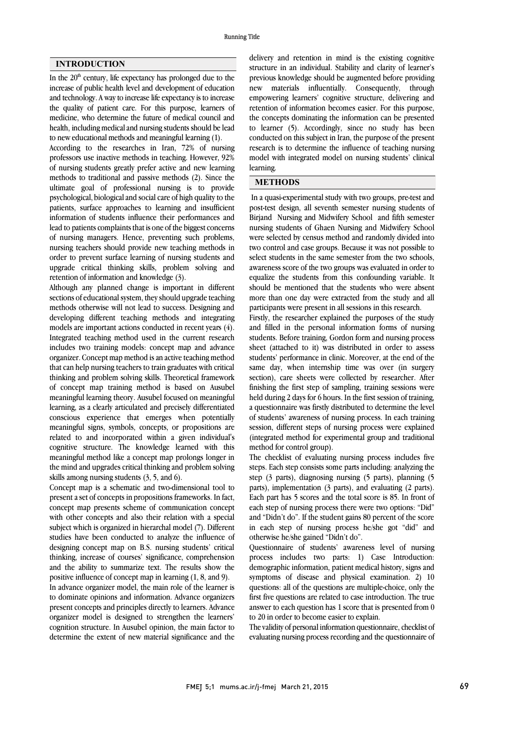## INTRODUCTION

In the  $20<sup>th</sup>$  century, life expectancy has prolonged due to the increase of public health level and development of education and technology. A way to increase life expectancy is to increase the quality of patient care. For this purpose, learners of medicine, who determine the future of medical council and health, including medical and nursing students should be lead to new educational methods and meaningful learning (1).

According to the researches in Iran, 72% of nursing professors use inactive methods in teaching. However, 92% of nursing students greatly prefer active and new learning methods to traditional and passive methods (2). Since the ultimate goal of professional nursing is to provide psychological, biological and social care of high quality to the patients, surface approaches to learning and insufficient information of students influence their performances and lead to patients complaints that is one of the biggest concerns of nursing managers. Hence, preventing such problems, nursing teachers should provide new teaching methods in order to prevent surface learning of nursing students and upgrade critical thinking skills, problem solving and retention of information and knowledge (3).

Although any planned change is important in different sections of educational system, they should upgrade teaching methods otherwise will not lead to success. Designing and developing different teaching methods and integrating models are important actions conducted in recent years (4). Integrated teaching method used in the current research includes two training models: concept map and advance organizer. Concept map method is an active teaching method that can help nursing teachers to train graduates with critical thinking and problem solving skills. Theoretical framework of concept map training method is based on Ausubel meaningful learning theory. Ausubel focused on meaningful learning, as a clearly articulated and precisely differentiated conscious experience that emerges when potentially meaningful signs, symbols, concepts, or propositions are related to and incorporated within a given individual's cognitive structure. The knowledge learned with this meaningful method like a concept map prolongs longer in the mind and upgrades critical thinking and problem solving skills among nursing students (3, 5, and 6).

Concept map is a schematic and two-dimensional tool to present a set of concepts in propositions frameworks. In fact, concept map presents scheme of communication concept with other concepts and also their relation with a special subject which is organized in hierarchal model (7). Different studies have been conducted to analyze the influence of designing concept map on B.S. nursing students' critical thinking, increase of courses' significance, comprehension and the ability to summarize text. The results show the positive influence of concept map in learning (1, 8, and 9).

In advance organizer model, the main role of the learner is to dominate opinions and information. Advance organizers present concepts and principles directly to learners. Advance organizer model is designed to strengthen the learners' cognition structure. In Ausubel opinion, the main factor to determine the extent of new material significance and the  delivery and retention in mind is the existing cognitive structure in an individual. Stability and clarity of learner's previous knowledge should be augmented before providing empowering learners' cognitive structure, delivering and retention of information becomes easier. For this purpose, the concepts dominating the information can be presented to learner (5). Accordingly, since no study has been research is to determine the influence of teaching nursing model with integrated model on nursing students' clinical learning. new materials influentially. Consequently, through conducted on this subject in Iran, the purpose of the present

# METHODS

j  $\overline{\phantom{a}}$ 

 In a quasi-experimental study with two groups, pre-test and post-test design, all seventh semester nursing students of Birjand Nursing and Midwifery School and fifth semester nursing students of Ghaen Nursing and Midwifery School two control and case groups. Because it was not possible to select students in the same semester from the two schools, awareness score of the two groups was evaluated in order to equalize the students from this confounding variable. It more than one day were extracted from the study and all participants were present in all sessions in this research. were selected by census method and randomly divided into should be mentioned that the students who were absent

 Firstly, the researcher explained the purposes of the study and filled in the personal information forms of nursing sheet (attached to it) was distributed in order to assess students' performance in clinic. Moreover, at the end of the same day, when internship time was over (in surgery section), care sheets were collected by researcher. After held during are mst step of sampling, training sessions were<br>held during 2 days for 6 hours. In the first session of training, a questionnaire was firstly distributed to determine the level of students' awareness of nursing process. In each training session, different steps of nursing process were explained method for control group). students. Before training, Gordon form and nursing process finishing the first step of sampling, training sessions were (integrated method for experimental group and traditional

 The checklist of evaluating nursing process includes five steps. Each step consists some parts including: analyzing the step (3 parts), diagnosing nursing (5 parts), planning (5 parts), implementation (5 parts), and evaluating  $(2 \text{ part})$ .<br>Each part has 5 scores and the total score is 85. In front of each step of nursing process there were two options: "Did" and "Didn't do". If the student gains 80 percent of the score in each step of nursing process he/she got "did" and parts), implementation (3 parts), and evaluating (2 parts). otherwise he/she gained "Didn't do".

 Questionnaire of students' awareness level of nursing process includes two parts: 1) Case Introduction: demographic information, patient medical history, signs and symptoms of disease and physical examination. 2) 10 first five questions are related to case introduction. The true answer to each question has 1 score that is presented from 0 to 20 in order to become easier to explain. questions: all of the questions are multiple-choice, only the

 The validity of personal information questionnaire, checklist of evaluating nursing process recording and the questionnaire of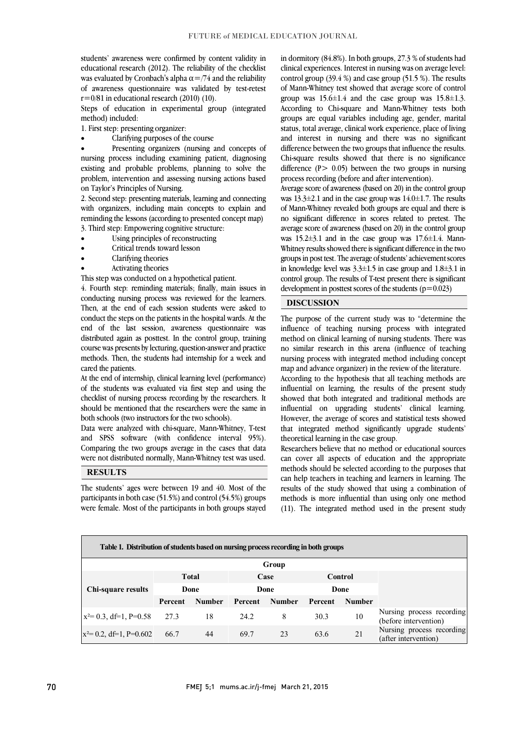students' awareness were confirmed by content validity in educational research (2012). The reliability of the checklist was evaluated by Cronbach's alpha  $\alpha = 74$  and the reliability of awareness questionnaire was validated by test-retest  $r=0/81$  in educational research (2010) (10).

 Steps of education in experimental group (integrated method) included:

- 1. First step: presenting organizer:
- Clarifying purposes of the course

 Presenting organizers (nursing and concepts of nursing process including examining patient, diagnosing existing and probable problems, planning to solve the problem, intervention and assessing nursing actions based on Taylor's Principles of Nursing.

 2. Second step: presenting materials, learning and connecting with organizers, including main concepts to explain and reminding the lessons (according to presented concept map) 3. Third step: Empowering cognitive structure:

- Using principles of reconstructing
- Critical trends toward lesson
- Clarifying theories
- Activating theories

This step was conducted on a hypothetical patient.

 4. Fourth step: reminding materials; finally, main issues in Then, at the end of each session students were asked to conduct the steps on the patients in the hospital wards. At the end of the last session, awareness questionnaire was course was presents by lecturing, question-answer and practice methods. Then, the students had internship for a week and conducting nursing process was reviewed for the learners. distributed again as posttest. In the control group, training cared the patients.

 At the end of internship, clinical learning level (performance) of the students was evaluated via first step and using the should be mentioned that the researchers were the same in both schools (two instructors for the two schools). checklist of nursing process recording by the researchers. It

 Data were analyzed with chi-square, Mann-Whitney, T-test and SPSS software (with confidence interval 95%). were not distributed normally, Mann-Whitney test was used. Comparing the two groups average in the cases that data

> j  $\overline{a}$

# **RESULTS**

The students' ages were between 19 and 40. Most of the were female. Most of the participants in both groups stayed participants in both case (51.5%) and control (54.5%) groups

 in dormitory (84.8%). In both groups, 27.3 % of students had clinical experiences. Interest in nursing was on average level: control group (39.4 %) and case group (51.5 %). The results or mann-winney lest showed that average score of control<br>group was 15.6±1.4 and the case group was 15.8±1.3. According to Chi-square and Mann-Whitney tests both groups are equal variables including age, gender, marital status, total average, clinical work experience, place of living and interest in nursing and there was no significant Chi-square results showed that there is no significance difference  $(P > 0.05)$  between the two groups in nursing process recording (before and after intervention). of Mann-Whitney test showed that average score of control difference between the two groups that influence the results.

process recording (before and after intervention).<br>Average score of awareness (based on 20) in the control group of Mann-Whitney revealed both groups are equal and there is no significant difference in scores related to pretest. The average score of awareness (based on 20) in the control group was  $15.2\pm3.1$  and in the case group was  $17.6\pm1.4$ . Mann- groups in post test. The average of students' achievement scores in knowledge level was 3.3±1.5 in case group and 1.8±3.1 in control group. The results of T-test present there is significant development in posttest scores of the students  $(p=0.023)$ was 13.3±2.1 and in the case group was 14.0±1.7. The results Whitney results showed there is significant difference in the two

## DISCUSSION

 The purpose of the current study was to "determine the influence of teaching nursing process with integrated method on clinical learning of nursing students. There was nursing process with integrated method including concept map and advance organizer) in the review of the literature. no similar research in this arena (influence of teaching

 $\overline{a}$ 

 According to the hypothesis that all teaching methods are influential on learning, the results of the present study influential on upgrading students' clinical learning. However, the average of scores and statistical tests showed that integrated method significantly upgrade students' showed that both integrated and traditional methods are theoretical learning in the case group.

 Researchers believe that no method or educational sources can cover all aspects of education and the appropriate methods should be selected according to the purposes that can help teachers in teaching and learners in learning. The results of the study showed that using a combination of (11). The integrated method used in the present study methods is more influential than using only one method

| Table 1. Distribution of students based on nursing process recording in both groups |              |               |         |               |                |               |                                                    |
|-------------------------------------------------------------------------------------|--------------|---------------|---------|---------------|----------------|---------------|----------------------------------------------------|
| Group                                                                               |              |               |         |               |                |               |                                                    |
| Chi-square results                                                                  | <b>Total</b> |               | Case    |               | Control        |               |                                                    |
|                                                                                     | Done         |               | Done    |               | Done           |               |                                                    |
|                                                                                     | Percent      | <b>Number</b> | Percent | <b>Number</b> | <b>Percent</b> | <b>Number</b> |                                                    |
| $x^2 = 0.3$ , df=1, P=0.58 27.3                                                     |              | 18            | 24.2    | 8             | 30.3           | 10            | Nursing process recording<br>(before intervention) |
| $x^2$ = 0.2, df=1, P=0.602                                                          | 66.7         | 44            | 69.7    | 23            | 63.6           | 21            | Nursing process recording<br>(after intervention)  |